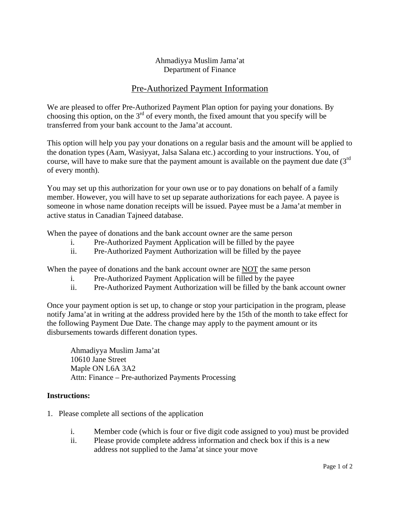## Ahmadiyya Muslim Jama'at Department of Finance

## Pre-Authorized Payment Information

We are pleased to offer Pre-Authorized Payment Plan option for paying your donations. By choosing this option, on the  $3<sup>rd</sup>$  of every month, the fixed amount that you specify will be transferred from your bank account to the Jama'at account.

This option will help you pay your donations on a regular basis and the amount will be applied to the donation types (Aam, Wasiyyat, Jalsa Salana etc.) according to your instructions. You, of course, will have to make sure that the payment amount is available on the payment due date  $(3<sup>rd</sup>$ of every month).

You may set up this authorization for your own use or to pay donations on behalf of a family member. However, you will have to set up separate authorizations for each payee. A payee is someone in whose name donation receipts will be issued. Payee must be a Jama'at member in active status in Canadian Tajneed database.

When the payee of donations and the bank account owner are the same person

- i. Pre-Authorized Payment Application will be filled by the payee
- ii. Pre-Authorized Payment Authorization will be filled by the payee

When the payee of donations and the bank account owner are NOT the same person

- i. Pre-Authorized Payment Application will be filled by the payee
- ii. Pre-Authorized Payment Authorization will be filled by the bank account owner

Once your payment option is set up, to change or stop your participation in the program, please notify Jama'at in writing at the address provided here by the 15th of the month to take effect for the following Payment Due Date. The change may apply to the payment amount or its disbursements towards different donation types.

Ahmadiyya Muslim Jama'at 10610 Jane Street Maple ON L6A 3A2 Attn: Finance – Pre-authorized Payments Processing

## **Instructions:**

- 1. Please complete all sections of the application
	- i. Member code (which is four or five digit code assigned to you) must be provided
	- ii. Please provide complete address information and check box if this is a new address not supplied to the Jama'at since your move